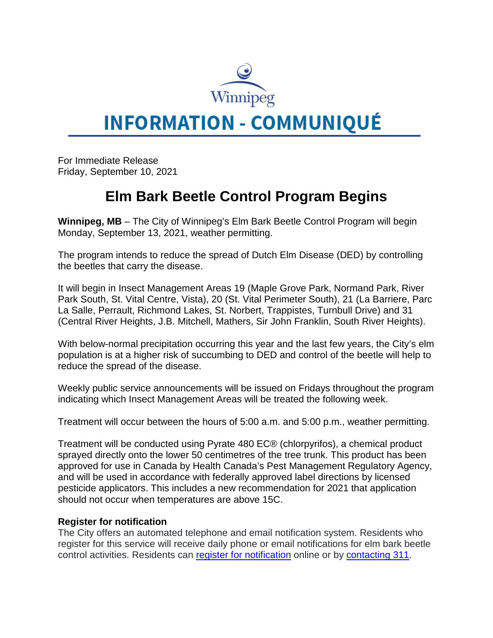

## **INFORMATION - COMMUNIQUÉ**

For Immediate Release Friday, September 10, 2021

## **Elm Bark Beetle Control Program Begins**

**Winnipeg, MB** – The City of Winnipeg's Elm Bark Beetle Control Program will begin Monday, September 13, 2021, weather permitting.

The program intends to reduce the spread of Dutch Elm Disease (DED) by controlling the beetles that carry the disease.

It will begin in Insect Management Areas 19 (Maple Grove Park, Normand Park, River Park South, St. Vital Centre, Vista), 20 (St. Vital Perimeter South), 21 (La Barriere, Parc La Salle, Perrault, Richmond Lakes, St. Norbert, Trappistes, Turnbull Drive) and 31 (Central River Heights, J.B. Mitchell, Mathers, Sir John Franklin, South River Heights).

With below-normal precipitation occurring this year and the last few years, the City's elm population is at a higher risk of succumbing to DED and control of the beetle will help to reduce the spread of the disease.

Weekly public service announcements will be issued on Fridays throughout the program indicating which Insect Management Areas will be treated the following week.

Treatment will occur between the hours of 5:00 a.m. and 5:00 p.m., weather permitting.

Treatment will be conducted using Pyrate 480 EC® (chlorpyrifos), a chemical product sprayed directly onto the lower 50 centimetres of the tree trunk. This product has been approved for use in Canada by Health Canada's Pest Management Regulatory Agency, and will be used in accordance with federally approved label directions by licensed pesticide applicators. This includes a new recommendation for 2021 that application should not occur when temperatures are above 15C.

## **Register for notification**

The City offers an automated telephone and email notification system. Residents who register for this service will receive daily phone or email notifications for elm bark beetle control activities. Residents can [register for notification](https://winnipeg.ca/publicworks/insectcontrol/mosquitoes/notification.stm) online or by [contacting 311.](https://winnipeg.ca/311/default.asp#contact-311)